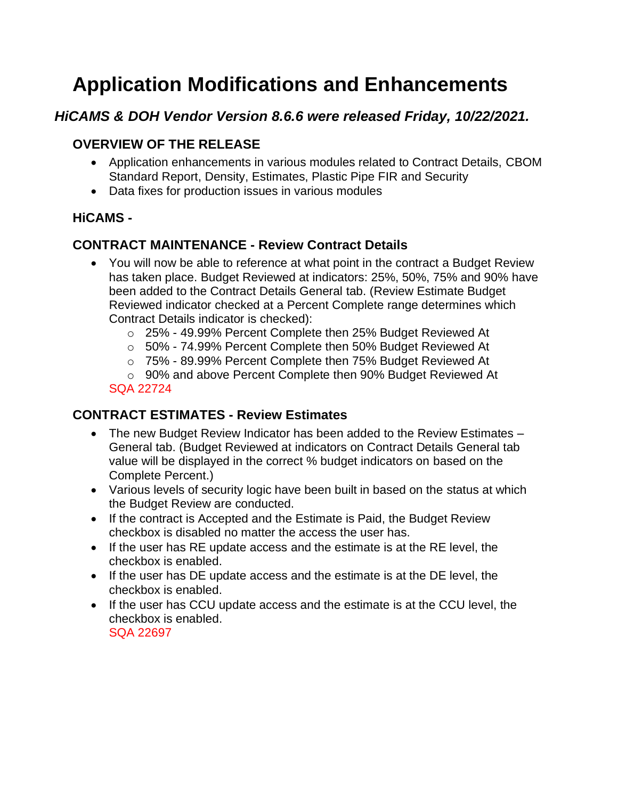# **Application Modifications and Enhancements**

## *HiCAMS & DOH Vendor Version 8.6.6 were released Friday, 10/22/2021.*

## **OVERVIEW OF THE RELEASE**

- Application enhancements in various modules related to Contract Details, CBOM Standard Report, Density, Estimates, Plastic Pipe FIR and Security
- Data fixes for production issues in various modules

### **HiCAMS -**

## **CONTRACT MAINTENANCE - Review Contract Details**

- You will now be able to reference at what point in the contract a Budget Review has taken place. Budget Reviewed at indicators: 25%, 50%, 75% and 90% have been added to the Contract Details General tab. (Review Estimate Budget Reviewed indicator checked at a Percent Complete range determines which Contract Details indicator is checked):
	- o 25% 49.99% Percent Complete then 25% Budget Reviewed At
	- o 50% 74.99% Percent Complete then 50% Budget Reviewed At
	- o 75% 89.99% Percent Complete then 75% Budget Reviewed At

o 90% and above Percent Complete then 90% Budget Reviewed At SQA 22724

#### **CONTRACT ESTIMATES - Review Estimates**

- The new Budget Review Indicator has been added to the Review Estimates General tab. (Budget Reviewed at indicators on Contract Details General tab value will be displayed in the correct % budget indicators on based on the Complete Percent.)
- Various levels of security logic have been built in based on the status at which the Budget Review are conducted.
- If the contract is Accepted and the Estimate is Paid, the Budget Review checkbox is disabled no matter the access the user has.
- If the user has RE update access and the estimate is at the RE level, the checkbox is enabled.
- If the user has DE update access and the estimate is at the DE level, the checkbox is enabled.
- If the user has CCU update access and the estimate is at the CCU level, the checkbox is enabled. SQA 22697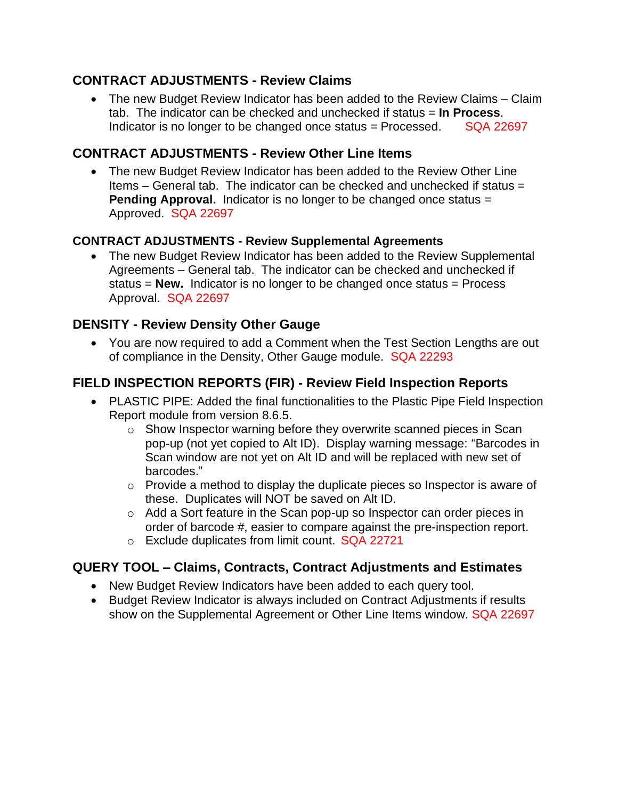### **CONTRACT ADJUSTMENTS - Review Claims**

• The new Budget Review Indicator has been added to the Review Claims – Claim tab. The indicator can be checked and unchecked if status = **In Process**. Indicator is no longer to be changed once status  $=$  Processed. SQA 22697

## **CONTRACT ADJUSTMENTS - Review Other Line Items**

• The new Budget Review Indicator has been added to the Review Other Line Items – General tab. The indicator can be checked and unchecked if status = **Pending Approval.** Indicator is no longer to be changed once status = Approved. SQA 22697

#### **CONTRACT ADJUSTMENTS - Review Supplemental Agreements**

• The new Budget Review Indicator has been added to the Review Supplemental Agreements – General tab. The indicator can be checked and unchecked if status = **New.** Indicator is no longer to be changed once status = Process Approval. SQA 22697

#### **DENSITY - Review Density Other Gauge**

• You are now required to add a Comment when the Test Section Lengths are out of compliance in the Density, Other Gauge module. SQA 22293

## **FIELD INSPECTION REPORTS (FIR) - Review Field Inspection Reports**

- PLASTIC PIPE: Added the final functionalities to the Plastic Pipe Field Inspection Report module from version 8.6.5.
	- o Show Inspector warning before they overwrite scanned pieces in Scan pop-up (not yet copied to Alt ID). Display warning message: "Barcodes in Scan window are not yet on Alt ID and will be replaced with new set of barcodes."
	- $\circ$  Provide a method to display the duplicate pieces so Inspector is aware of these. Duplicates will NOT be saved on Alt ID.
	- o Add a Sort feature in the Scan pop-up so Inspector can order pieces in order of barcode #, easier to compare against the pre-inspection report.
	- o Exclude duplicates from limit count. SQA 22721

#### **QUERY TOOL – Claims, Contracts, Contract Adjustments and Estimates**

- New Budget Review Indicators have been added to each query tool.
- Budget Review Indicator is always included on Contract Adjustments if results show on the Supplemental Agreement or Other Line Items window. SQA 22697